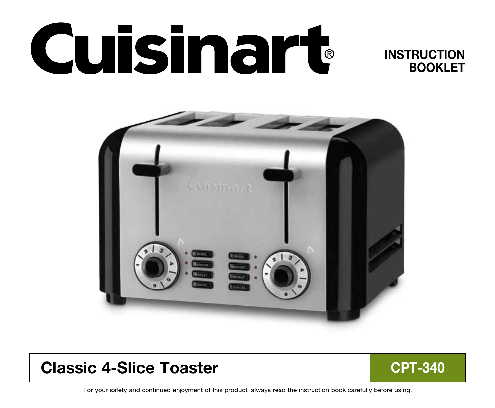# **Cuisinart**

## **INSTRUCTION** BOOKLET



# Classic 4-Slice Toaster CPT-340



For your safety and continued enjoyment of this product, always read the instruction book carefully before using.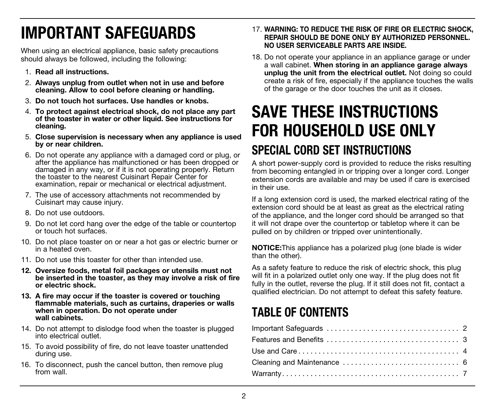# IMPORTANT SAFEGUARDS

When using an electrical appliance, basic safety precautions should always be followed, including the following:

- 1. Read all instructions.
- 2. Always unplug from outlet when not in use and before cleaning. Allow to cool before cleaning or handling.
- 3. Do not touch hot surfaces. Use handles or knobs.
- 4. To protect against electrical shock, do not place any part of the toaster in water or other liquid. See instructions for cleaning.
- 5. Close supervision is necessary when any appliance is used by or near children.
- 6. Do not operate any appliance with a damaged cord or plug, or after the appliance has malfunctioned or has been dropped or damaged in any way, or if it is not operating properly. Return the toaster to the nearest Cuisinart Repair Center for examination, repair or mechanical or electrical adjustment.
- 7. The use of accessory attachments not recommended by Cuisinart may cause injury.
- 8. Do not use outdoors.
- 9. Do not let cord hang over the edge of the table or countertop or touch hot surfaces.
- 10. Do not place toaster on or near a hot gas or electric burner or in a heated oven.
- 11. Do not use this toaster for other than intended use.
- 12. Oversize foods, metal foil packages or utensils must not be inserted in the toaster, as they may involve a risk of fire or electric shock.
- 13. A fire may occur if the toaster is covered or touching flammable materials, such as curtains, draperies or walls when in operation. Do not operate under wall cabinets.
- 14. Do not attempt to dislodge food when the toaster is plugged into electrical outlet.
- 15. To avoid possibility of fire, do not leave toaster unattended during use.
- 16. To disconnect, push the cancel button, then remove plug from wall.
- 17. WARNING: TO REDUCE THE RISK OF FIRE OR ELECTRIC SHOCK, REPAIR SHOULD BE DONE ONLY BY AUTHORIZED PERSONNEL. NO USER SERVICEABLE PARTS ARE INSIDE.
- 18. Do not operate your appliance in an appliance garage or under a wall cabinet. When storing in an appliance garage always unplug the unit from the electrical outlet. Not doing so could create a risk of fire, especially if the appliance touches the walls of the garage or the door touches the unit as it closes.

# SAVE THESE INSTRUCTIONS FOR HOUSEHOLD USE ONLY SPECIAL CORD SET INSTRUCTIONS

A short power-supply cord is provided to reduce the risks resulting from becoming entangled in or tripping over a longer cord. Longer extension cords are available and may be used if care is exercised in their use.

If a long extension cord is used, the marked electrical rating of the extension cord should be at least as great as the electrical rating of the appliance, and the longer cord should be arranged so that it will not drape over the countertop or tabletop where it can be pulled on by children or tripped over unintentionally.

NOTICE:This appliance has a polarized plug (one blade is wider than the other).

As a safety feature to reduce the risk of electric shock, this plug will fit in a polarized outlet only one way. If the plug does not fit fully in the outlet, reverse the plug. If it still does not fit, contact a qualified electrician. Do not attempt to defeat this safety feature.

# TABLE OF CONTENTS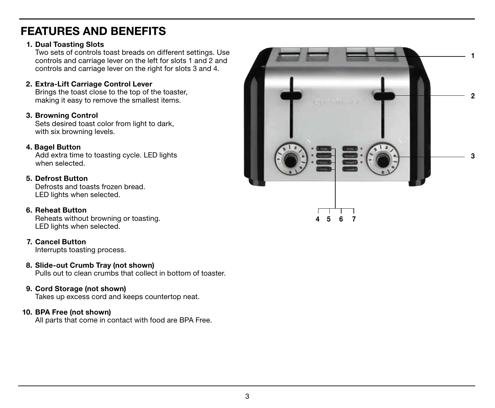## FEATURES AND BENEFITS

#### 1. Dual Toasting Slots

Two sets of controls toast breads on different settings. Use controls and carriage lever on the left for slots 1 and 2 and controls and carriage lever on the right for slots 3 and 4.

#### 2. Extra-Lift Carriage Control Lever

 Brings the toast close to the top of the toaster, making it easy to remove the smallest items.

#### 3. Browning Control

Sets desired toast color from light to dark. with six browning levels.

#### 4. Bagel Button

Add extra time to toasting cycle. LED lights when selected.

#### 5. Defrost Button

 Defrosts and toasts frozen bread. LED lights when selected.

#### 6. Reheat Button

 Reheats without browning or toasting. LED lights when selected.

#### 7. Cancel Button

Interrupts toasting process.

#### 8. Slide-out Crumb Tray (not shown)

Pulls out to clean crumbs that collect in bottom of toaster.

#### 9. Cord Storage (not shown)

Takes up excess cord and keeps countertop neat.

#### 10. BPA Free (not shown)

All parts that come in contact with food are BPA Free.

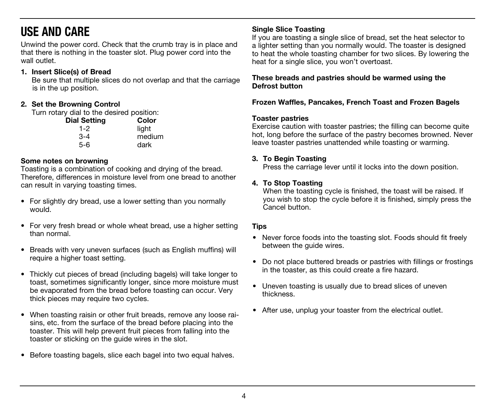# USE AND CARE

Unwind the power cord. Check that the crumb tray is in place and that there is nothing in the toaster slot. Plug power cord into the wall outlet.

#### 1. Insert Slice(s) of Bread

Be sure that multiple slices do not overlap and that the carriage is in the up position.

#### 2. Set the Browning Control

Turn rotary dial to the desired position:

| <b>Dial Setting</b> | Color          |
|---------------------|----------------|
| $1 - 2$             | light          |
| $3 - 4$             | medium<br>dark |
| 5-6                 |                |

#### Some notes on browning

Toasting is a combination of cooking and drying of the bread. Therefore, differences in moisture level from one bread to another can result in varying toasting times.

- For slightly dry bread, use a lower setting than you normally would.
- For very fresh bread or whole wheat bread, use a higher setting than normal.
- Breads with very uneven surfaces (such as English muffins) will require a higher toast setting.
- Thickly cut pieces of bread (including bagels) will take longer to toast, sometimes significantly longer, since more moisture must be evaporated from the bread before toasting can occur. Very thick pieces may require two cycles.
- When toasting raisin or other fruit breads, remove any loose raisins, etc. from the surface of the bread before placing into the toaster. This will help prevent fruit pieces from falling into the toaster or sticking on the guide wires in the slot.
- Before toasting bagels, slice each bagel into two equal halves.

#### Single Slice Toasting

If you are toasting a single slice of bread, set the heat selector to a lighter setting than you normally would. The toaster is designed to heat the whole toasting chamber for two slices. By lowering the heat for a single slice, you won't overtoast.

These breads and pastries should be warmed using the Defrost button

#### Frozen Waffles, Pancakes, French Toast and Frozen Bagels

#### Toaster pastries

Exercise caution with toaster pastries; the filling can become quite hot, long before the surface of the pastry becomes browned. Never leave toaster pastries unattended while toasting or warming.

#### 3. To Begin Toasting

Press the carriage lever until it locks into the down position.

#### 4. To Stop Toasting

 When the toasting cycle is finished, the toast will be raised. If you wish to stop the cycle before it is finished, simply press the Cancel button.

#### **Tips**

- Never force foods into the toasting slot. Foods should fit freely between the guide wires.
- Do not place buttered breads or pastries with fillings or frostings in the toaster, as this could create a fire hazard.
- Uneven toasting is usually due to bread slices of uneven thickness.
- After use, unplug your toaster from the electrical outlet.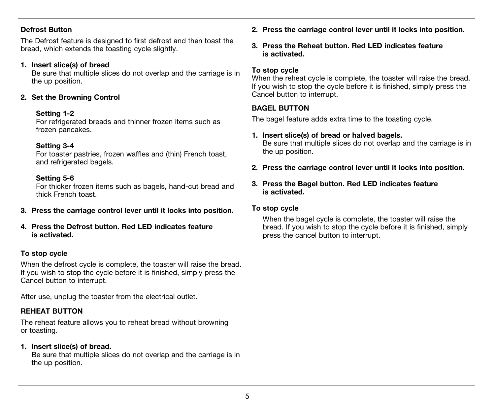#### Defrost Button

The Defrost feature is designed to first defrost and then toast the bread, which extends the toasting cycle slightly.

#### 1. Insert slice(s) of bread

 Be sure that multiple slices do not overlap and the carriage is in the up position.

#### 2. Set the Browning Control

#### Setting 1-2

 For refrigerated breads and thinner frozen items such as frozen pancakes.

#### Setting 3-4

 For toaster pastries, frozen waffles and (thin) French toast, and refrigerated bagels.

#### Setting 5-6

 For thicker frozen items such as bagels, hand-cut bread and thick French toast.

- 3. Press the carriage control lever until it locks into position.
- 4. Press the Defrost button. Red LED indicates feature is activated.

#### To stop cycle

When the defrost cycle is complete, the toaster will raise the bread. If you wish to stop the cycle before it is finished, simply press the Cancel button to interrupt.

After use, unplug the toaster from the electrical outlet.

#### REHEAT BUTTON

The reheat feature allows you to reheat bread without browning or toasting.

#### 1. Insert slice(s) of bread.

 Be sure that multiple slices do not overlap and the carriage is in the up position.

- 2. Press the carriage control lever until it locks into position.
- 3. Press the Reheat button. Red LED indicates feature is activated.

#### To stop cycle

When the reheat cycle is complete, the toaster will raise the bread. If you wish to stop the cycle before it is finished, simply press the Cancel button to interrupt.

#### BAGEL BUTTON

The bagel feature adds extra time to the toasting cycle.

#### 1. Insert slice(s) of bread or halved bagels.

 Be sure that multiple slices do not overlap and the carriage is in the up position.

2. Press the carriage control lever until it locks into position.

#### 3. Press the Bagel button. Red LED indicates feature is activated.

#### To stop cycle

 When the bagel cycle is complete, the toaster will raise the bread. If you wish to stop the cycle before it is finished, simply press the cancel button to interrupt.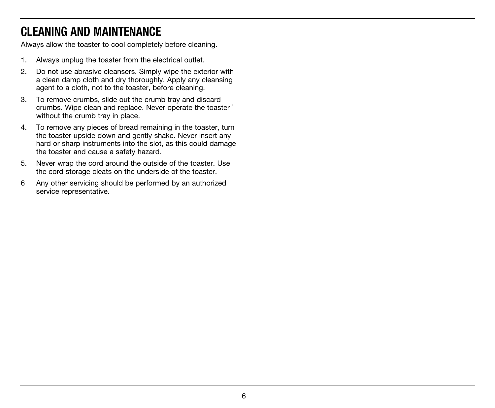# CLEANING AND MAINTENANCE

Always allow the toaster to cool completely before cleaning.

- 1. Always unplug the toaster from the electrical outlet.
- 2. Do not use abrasive cleansers. Simply wipe the exterior with a clean damp cloth and dry thoroughly. Apply any cleansing agent to a cloth, not to the toaster, before cleaning.
- 3. To remove crumbs, slide out the crumb tray and discard crumbs. Wipe clean and replace. Never operate the toaster ` without the crumb tray in place.
- 4. To remove any pieces of bread remaining in the toaster, turn the toaster upside down and gently shake. Never insert any hard or sharp instruments into the slot, as this could damage the toaster and cause a safety hazard.
- 5. Never wrap the cord around the outside of the toaster. Use the cord storage cleats on the underside of the toaster.
- 6 Any other servicing should be performed by an authorized service representative.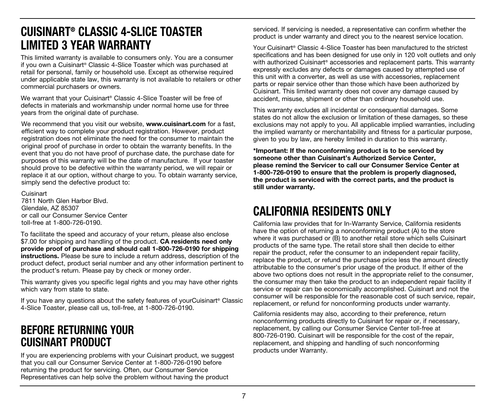## CUISINART® CLASSIC 4-SLICE TOASTER LIMITED 3 YEAR WARRANTY

This limited warranty is available to consumers only. You are a consumer if you own a Cuisinart® Classic 4-Slice Toaster which was purchased at retail for personal, family or household use. Except as otherwise required under applicable state law, this warranty is not available to retailers or other commercial purchasers or owners.

We warrant that your Cuisinart® Classic 4-Slice Toaster will be free of defects in materials and workmanship under normal home use for three years from the original date of purchase.

We recommend that you visit our website, **www.cuisinart.com** for a fast, efficient way to complete your product registration. However, product registration does not eliminate the need for the consumer to maintain the original proof of purchase in order to obtain the warranty benefits. In the event that you do not have proof of purchase date, the purchase date for purposes of this warranty will be the date of manufacture. If your toaster should prove to be defective within the warranty period, we will repair or replace it at our option, without charge to you. To obtain warranty service, simply send the defective product to:

Cuisinart 7811 North Glen Harbor Blvd. Glendale, AZ 85307 or call our Consumer Service Center toll-free at 1-800-726-0190.

To facilitate the speed and accuracy of your return, please also enclose \$7.00 for shipping and handling of the product. **CA residents need only** provide proof of purchase and should call 1-800-726-0190 for shipping instructions. Please be sure to include a return address, description of the product defect, product serial number and any other information pertinent to the product's return. Please pay by check or money order.

This warranty gives you specific legal rights and you may have other rights which vary from state to state.

If you have any questions about the safety features of yourCuisinart® Classic 4-Slice Toaster, please call us, toll-free, at 1-800-726-0190.

## BEFORE RETURNING YOUR CUISINART PRODUCT

If you are experiencing problems with your Cuisinart product, we suggest that you call our Consumer Service Center at 1-800-726-0190 before returning the product for servicing. Often, our Consumer Service Representatives can help solve the problem without having the product

serviced. If servicing is needed, a representative can confirm whether the product is under warranty and direct you to the nearest service location.

Your Cuisinart® Classic 4-Slice Toaster has been manufactured to the strictest specifications and has been designed for use only in 120 volt outlets and only with authorized Cuisinart® accessories and replacement parts. This warranty expressly excludes any defects or damages caused by attempted use of this unit with a converter, as well as use with accessories, replacement parts or repair service other than those which have been authorized by Cuisinart. This limited warranty does not cover any damage caused by accident, misuse, shipment or other than ordinary household use.

This warranty excludes all incidental or consequential damages. Some states do not allow the exclusion or limitation of these damages, so these exclusions may not apply to you. All applicable implied warranties, including the implied warranty or merchantability and fitness for a particular purpose, given to you by law, are hereby limited in duration to this warranty.

\*Important: If the nonconforming product is to be serviced by someone other than Cuisinart's Authorized Service Center, please remind the Servicer to call our Consumer Service Center at 1-800-726-0190 to ensure that the problem is properly diagnosed, the product is serviced with the correct parts, and the product is still under warranty.

# CALIFORNIA RESIDENTS ONLY

California law provides that for In-Warranty Service, California residents have the option of returning a nonconforming product (A) to the store where it was purchased or (B) to another retail store which sells Cuisinart products of the same type. The retail store shall then decide to either repair the product, refer the consumer to an independent repair facility, replace the product, or refund the purchase price less the amount directly attributable to the consumer's prior usage of the product. If either of the above two options does not result in the appropriate relief to the consumer, the consumer may then take the product to an independent repair facility if service or repair can be economically accomplished. Cuisinart and not the consumer will be responsible for the reasonable cost of such service, repair, replacement, or refund for nonconforming products under warranty.

California residents may also, according to their preference, return nonconforming products directly to Cuisinart for repair or, if necessary, replacement, by calling our Consumer Service Center toll-free at 800-726-0190. Cuisinart will be responsible for the cost of the repair, replacement, and shipping and handling of such nonconforming products under Warranty.